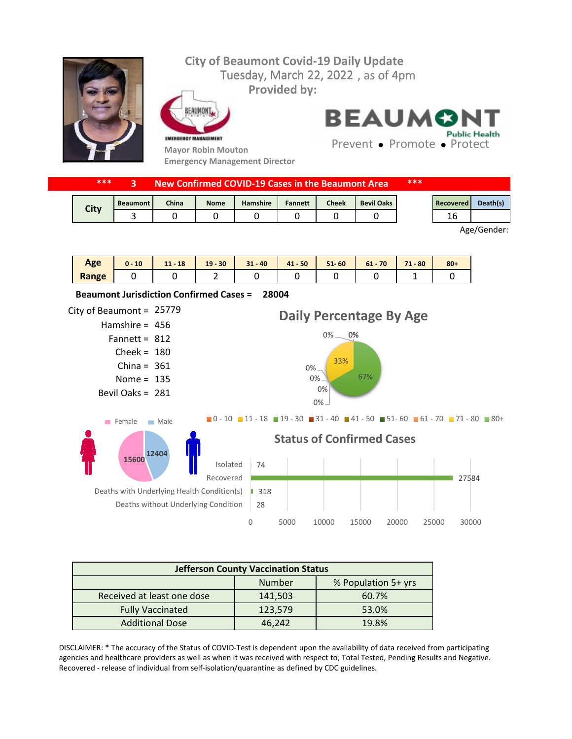

|  | ***<br>New Confirmed COVID-19 Cases in the Beaumont Area |                 |       |             |                 |                | ***          |                   |  |           |          |
|--|----------------------------------------------------------|-----------------|-------|-------------|-----------------|----------------|--------------|-------------------|--|-----------|----------|
|  | City                                                     | <b>Beaumont</b> | China | <b>Nome</b> | <b>Hamshire</b> | <b>Fannett</b> | <b>Cheek</b> | <b>Bevil Oaks</b> |  | Recovered | Death(s) |
|  |                                                          |                 |       |             |                 |                |              |                   |  | 16        |          |

Age/Gender:

| Age   | 10 | $11 - 18$ | $19 - 30$ | $31 - 40$ | $41 - 50$ | $51 - 60$ | 70<br>$61 -$ | 71<br>$-80$<br>. . | $80 +$ |
|-------|----|-----------|-----------|-----------|-----------|-----------|--------------|--------------------|--------|
| Range |    |           | -         |           |           |           |              | -                  |        |



| <b>Jefferson County Vaccination Status</b> |         |                     |  |  |  |  |
|--------------------------------------------|---------|---------------------|--|--|--|--|
|                                            | Number  | % Population 5+ yrs |  |  |  |  |
| Received at least one dose                 | 141,503 | 60.7%               |  |  |  |  |
| <b>Fully Vaccinated</b>                    | 123,579 | 53.0%               |  |  |  |  |
| <b>Additional Dose</b>                     | 46.242  | 19.8%               |  |  |  |  |

DISCLAIMER: \* The accuracy of the Status of COVID-Test is dependent upon the availability of data received from participating agencies and healthcare providers as well as when it was received with respect to; Total Tested, Pending Results and Negative. Recovered - release of individual from self-isolation/quarantine as defined by CDC guidelines.